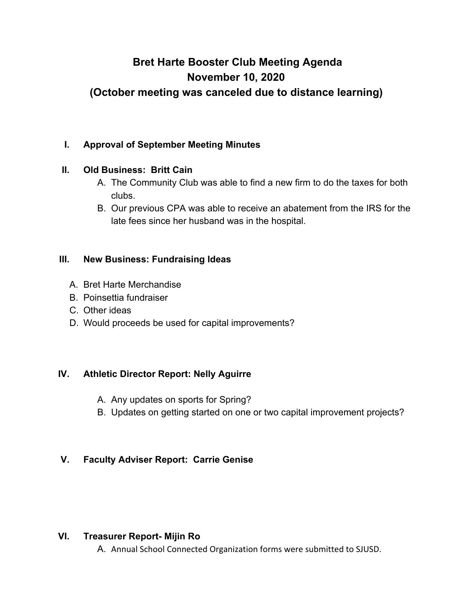# **Bret Harte Booster Club Meeting Agenda November 10, 2020 (October meeting was canceled due to distance learning)**

#### **I. Approval of September Meeting Minutes**

#### **II. Old Business: Britt Cain**

- A. The Community Club was able to find a new firm to do the taxes for both clubs.
- B. Our previous CPA was able to receive an abatement from the IRS for the late fees since her husband was in the hospital.

#### **III. New Business: Fundraising Ideas**

- A. Bret Harte Merchandise
- B. Poinsettia fundraiser
- C. Other ideas
- D. Would proceeds be used for capital improvements?

### **IV. Athletic Director Report: Nelly Aguirre**

- A. Any updates on sports for Spring?
- B. Updates on getting started on one or two capital improvement projects?

### **V. Faculty Adviser Report: Carrie Genise**

#### **VI. Treasurer Report- Mijin Ro**

A. Annual School Connected Organization forms were submitted to SJUSD.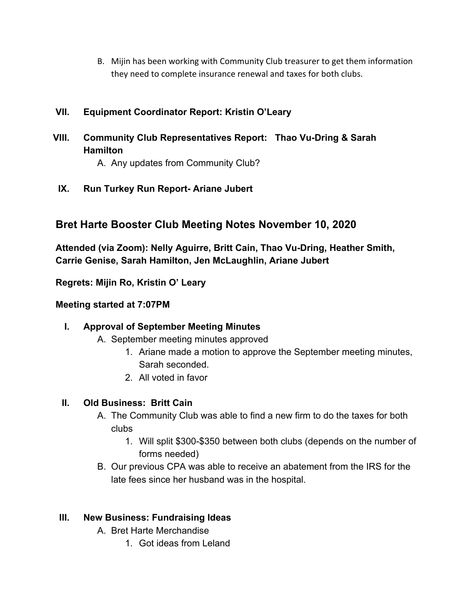B. Mijin has been working with Community Club treasurer to get them information they need to complete insurance renewal and taxes for both clubs.

## **VII. Equipment Coordinator Report: Kristin O'Leary**

**VIII. Community Club Representatives Report: Thao Vu-Dring & Sarah Hamilton**

A. Any updates from Community Club?

**IX. Run Turkey Run Report- Ariane Jubert**

# **Bret Harte Booster Club Meeting Notes November 10, 2020**

**Attended (via Zoom): Nelly Aguirre, Britt Cain, Thao Vu-Dring, Heather Smith, Carrie Genise, Sarah Hamilton, Jen McLaughlin, Ariane Jubert**

**Regrets: Mijin Ro, Kristin O' Leary**

#### **Meeting started at 7:07PM**

### **I. Approval of September Meeting Minutes**

- A. September meeting minutes approved
	- 1. Ariane made a motion to approve the September meeting minutes, Sarah seconded.
	- 2. All voted in favor

### **II. Old Business: Britt Cain**

- A. The Community Club was able to find a new firm to do the taxes for both clubs
	- 1. Will split \$300-\$350 between both clubs (depends on the number of forms needed)
- B. Our previous CPA was able to receive an abatement from the IRS for the late fees since her husband was in the hospital.

### **III. New Business: Fundraising Ideas**

- A. Bret Harte Merchandise
	- 1. Got ideas from Leland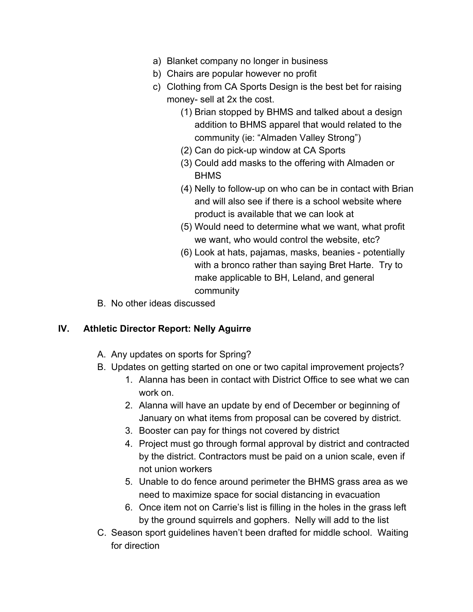- a) Blanket company no longer in business
- b) Chairs are popular however no profit
- c) Clothing from CA Sports Design is the best bet for raising money- sell at 2x the cost.
	- (1) Brian stopped by BHMS and talked about a design addition to BHMS apparel that would related to the community (ie: "Almaden Valley Strong")
	- (2) Can do pick-up window at CA Sports
	- (3) Could add masks to the offering with Almaden or BHMS
	- (4) Nelly to follow-up on who can be in contact with Brian and will also see if there is a school website where product is available that we can look at
	- (5) Would need to determine what we want, what profit we want, who would control the website, etc?
	- (6) Look at hats, pajamas, masks, beanies potentially with a bronco rather than saying Bret Harte. Try to make applicable to BH, Leland, and general community
- B. No other ideas discussed

### **IV. Athletic Director Report: Nelly Aguirre**

- A. Any updates on sports for Spring?
- B. Updates on getting started on one or two capital improvement projects?
	- 1. Alanna has been in contact with District Office to see what we can work on.
	- 2. Alanna will have an update by end of December or beginning of January on what items from proposal can be covered by district.
	- 3. Booster can pay for things not covered by district
	- 4. Project must go through formal approval by district and contracted by the district. Contractors must be paid on a union scale, even if not union workers
	- 5. Unable to do fence around perimeter the BHMS grass area as we need to maximize space for social distancing in evacuation
	- 6. Once item not on Carrie's list is filling in the holes in the grass left by the ground squirrels and gophers. Nelly will add to the list
- C. Season sport guidelines haven't been drafted for middle school. Waiting for direction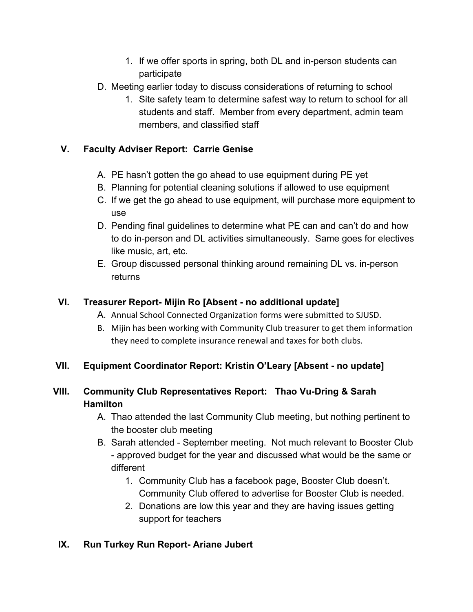- 1. If we offer sports in spring, both DL and in-person students can participate
- D. Meeting earlier today to discuss considerations of returning to school
	- 1. Site safety team to determine safest way to return to school for all students and staff. Member from every department, admin team members, and classified staff

## **V. Faculty Adviser Report: Carrie Genise**

- A. PE hasn't gotten the go ahead to use equipment during PE yet
- B. Planning for potential cleaning solutions if allowed to use equipment
- C. If we get the go ahead to use equipment, will purchase more equipment to use
- D. Pending final guidelines to determine what PE can and can't do and how to do in-person and DL activities simultaneously. Same goes for electives like music, art, etc.
- E. Group discussed personal thinking around remaining DL vs. in-person returns

## **VI. Treasurer Report- Mijin Ro [Absent - no additional update]**

- A. Annual School Connected Organization forms were submitted to SJUSD.
- B. Mijin has been working with Community Club treasurer to get them information they need to complete insurance renewal and taxes for both clubs.

## **VII. Equipment Coordinator Report: Kristin O'Leary [Absent - no update]**

## **VIII. Community Club Representatives Report: Thao Vu-Dring & Sarah Hamilton**

- A. Thao attended the last Community Club meeting, but nothing pertinent to the booster club meeting
- B. Sarah attended September meeting. Not much relevant to Booster Club - approved budget for the year and discussed what would be the same or different
	- 1. Community Club has a facebook page, Booster Club doesn't. Community Club offered to advertise for Booster Club is needed.
	- 2. Donations are low this year and they are having issues getting support for teachers

### **IX. Run Turkey Run Report- Ariane Jubert**